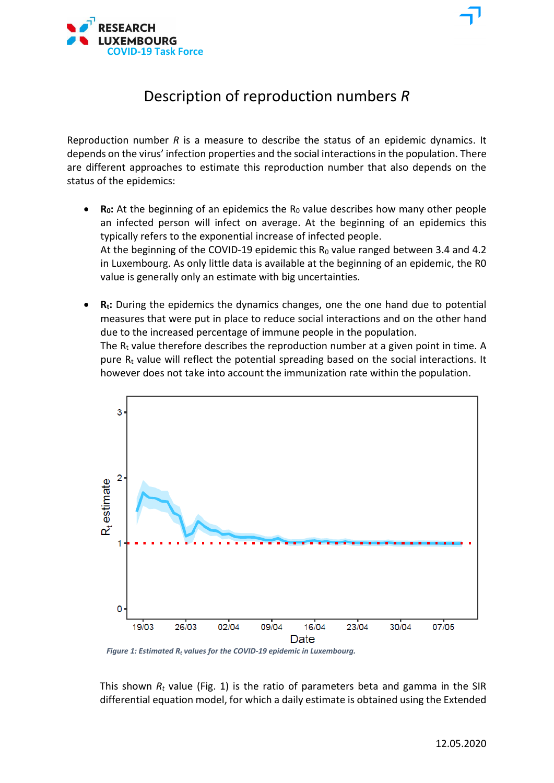

Reproduction number *R* is a measure to describe the status of an epidemic dynamics. It depends on the virus' infection properties and the social interactions in the population. There are different approaches to estimate this reproduction number that also depends on the status of the epidemics:

- **R<sub>0</sub>**: At the beginning of an epidemics the R<sub>0</sub> value describes how many other people an infected person will infect on average. At the beginning of an epidemics this typically refers to the exponential increase of infected people. At the beginning of the COVID-19 epidemic this  $R_0$  value ranged between 3.4 and 4.2 in Luxembourg. As only little data is available at the beginning of an epidemic, the R0 value is generally only an estimate with big uncertainties.
- **Rt:** During the epidemics the dynamics changes, one the one hand due to potential measures that were put in place to reduce social interactions and on the other hand due to the increased percentage of immune people in the population. The  $R_t$  value therefore describes the reproduction number at a given point in time. A pure  $R_t$  value will reflect the potential spreading based on the social interactions. It however does not take into account the immunization rate within the population.



*Figure 1: Estimated R<sup>t</sup> values for the COVID-19 epidemic in Luxembourg.*

This shown  $R_t$  value (Fig. 1) is the ratio of parameters beta and gamma in the SIR differential equation model, for which a daily estimate is obtained using the Extended